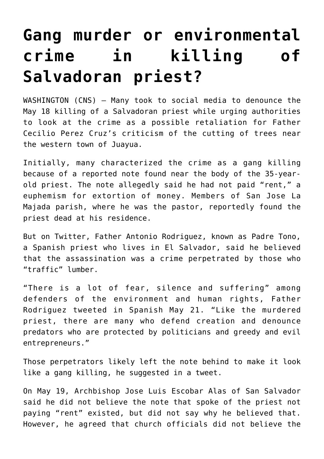## **[Gang murder or environmental](https://www.osvnews.com/2019/05/22/gang-murder-or-environmental-crime-in-killing-of-salvadoran-priest/) [crime in killing of](https://www.osvnews.com/2019/05/22/gang-murder-or-environmental-crime-in-killing-of-salvadoran-priest/) [Salvadoran priest?](https://www.osvnews.com/2019/05/22/gang-murder-or-environmental-crime-in-killing-of-salvadoran-priest/)**

WASHINGTON (CNS) — Many took to social media to denounce the May 18 killing of a Salvadoran priest while urging authorities to look at the crime as a possible retaliation for Father Cecilio Perez Cruz's criticism of the cutting of trees near the western town of Juayua.

Initially, many characterized the crime as a gang killing because of a reported note found near the body of the 35-yearold priest. The note allegedly said he had not paid "rent," a euphemism for extortion of money. Members of San Jose La Majada parish, where he was the pastor, reportedly found the priest dead at his residence.

But on Twitter, Father Antonio Rodriguez, known as Padre Tono, a Spanish priest who lives in El Salvador, said he believed that the assassination was a crime perpetrated by those who "traffic" lumber.

"There is a lot of fear, silence and suffering" among defenders of the environment and human rights, Father Rodriguez tweeted in Spanish May 21. "Like the murdered priest, there are many who defend creation and denounce predators who are protected by politicians and greedy and evil entrepreneurs."

Those perpetrators likely left the note behind to make it look like a gang killing, he suggested in a tweet.

On May 19, Archbishop Jose Luis Escobar Alas of San Salvador said he did not believe the note that spoke of the priest not paying "rent" existed, but did not say why he believed that. However, he agreed that church officials did not believe the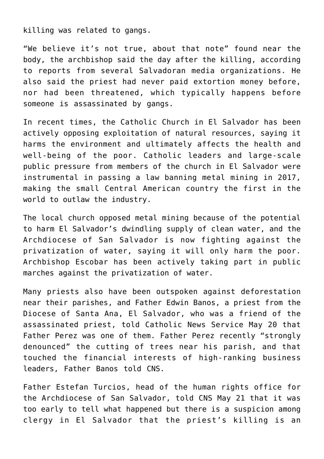killing was related to gangs.

"We believe it's not true, about that note" found near the body, the archbishop said the day after the killing, according to reports from several Salvadoran media organizations. He also said the priest had never paid extortion money before, nor had been threatened, which typically happens before someone is assassinated by gangs.

In recent times, the Catholic Church in El Salvador has been actively opposing exploitation of natural resources, saying it harms the environment and ultimately affects the health and well-being of the poor. Catholic leaders and large-scale public pressure from members of the church in El Salvador were instrumental in passing a law banning metal mining in 2017, making the small Central American country the first in the world to outlaw the industry.

The local church opposed metal mining because of the potential to harm El Salvador's dwindling supply of clean water, and the Archdiocese of San Salvador is now fighting against the privatization of water, saying it will only harm the poor. Archbishop Escobar has been actively taking part in public marches against the privatization of water.

Many priests also have been outspoken against deforestation near their parishes, and Father Edwin Banos, a priest from the Diocese of Santa Ana, El Salvador, who was a friend of the assassinated priest, told Catholic News Service May 20 that Father Perez was one of them. Father Perez recently "strongly denounced" the cutting of trees near his parish, and that touched the financial interests of high-ranking business leaders, Father Banos told CNS.

Father Estefan Turcios, head of the human rights office for the Archdiocese of San Salvador, told CNS May 21 that it was too early to tell what happened but there is a suspicion among clergy in El Salvador that the priest's killing is an